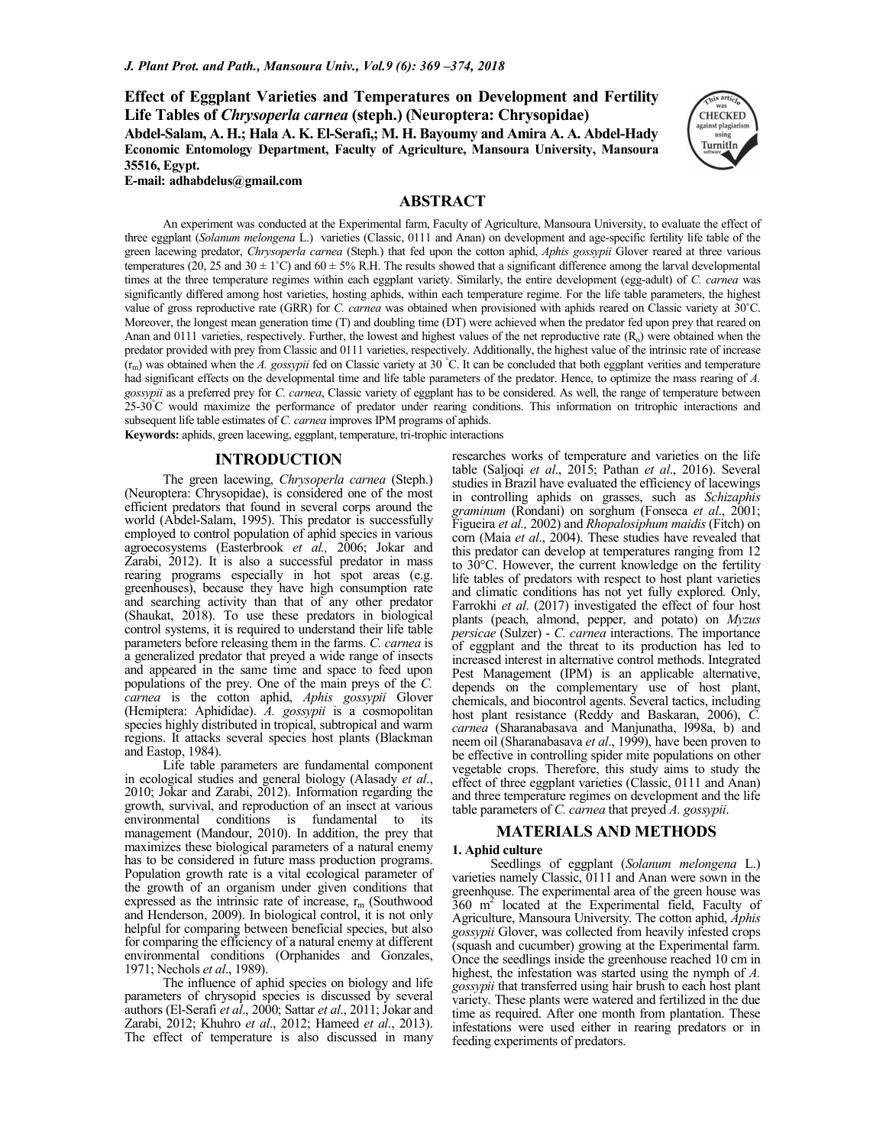**Effect of Eggplant Varieties and Temperatures on Development and Fertility Life Tables of** *Chrysoperla carnea* **(steph.) (Neuroptera: Chrysopidae) Abdel-Salam, A. H.; Hala A. K. El-Serafi,; M. H. Bayoumy and Amira A. A. Abdel-Hady Economic Entomology Department, Faculty of Agriculture, Mansoura University, Mansoura 35516, Egypt. E-mail: adhabdelus@gmail.com**



# **ABSTRACT**

An experiment was conducted at the Experimental farm, Faculty of Agriculture, Mansoura University, to evaluate the effect of three eggplant (*Solanum melongena* L.) varieties (Classic, 0111 and Anan) on development and age-specific fertility life table of the green lacewing predator, *Chrysoperla carnea* (Steph.) that fed upon the cotton aphid, *Aphis gossypii* Glover reared at three various temperatures (20, 25 and 30  $\pm$  1°C) and 60  $\pm$  5% R.H. The results showed that a significant difference among the larval developmental times at the three temperature regimes within each eggplant variety. Similarly, the entire development (egg-adult) of *C. carnea* was significantly differed among host varieties, hosting aphids, within each temperature regime. For the life table parameters, the highest value of gross reproductive rate (GRR) for *C. carnea* was obtained when provisioned with aphids reared on Classic variety at 30˚C. Moreover, the longest mean generation time (T) and doubling time (DT) were achieved when the predator fed upon prey that reared on Anan and  $0111$  varieties, respectively. Further, the lowest and highest values of the net reproductive rate  $(R<sub>o</sub>)$  were obtained when the predator provided with prey from Classic and 0111 varieties, respectively. Additionally, the highest value of the intrinsic rate of increase (rm) was obtained when the *A. gossypii* fed on Classic variety at 30 °C. It can be concluded that both eggplant verities and temperature had significant effects on the developmental time and life table parameters of the predator. Hence, to optimize the mass rearing of *A*. *gossypii* as a preferred prey for *C. carnea*, Classic variety of eggplant has to be considered. As well, the range of temperature between 25-30°C would maximize the performance of predator under rearing conditions. This information on tritrophic interactions and subsequent life table estimates of *C. carnea* improves IPM programs of aphids.

**Keywords:** aphids, green lacewing, eggplant, temperature, tri-trophic interactions

# **INTRODUCTION**

The green lacewing, *Chrysoperla carnea* (Steph.) (Neuroptera: Chrysopidae), is considered one of the most efficient predators that found in several corps around the world (Abdel-Salam, 1995). This predator is successfully employed to control population of aphid species in various agroecosystems (Easterbrook *et al.,* 2006; Jokar and Zarabi, 2012). It is also a successful predator in mass rearing programs especially in hot spot areas (e.g. greenhouses), because they have high consumption rate and searching activity than that of any other predator (Shaukat, 2018). To use these predators in biological control systems, it is required to understand their life table parameters before releasing them in the farms. *C. carnea* is a generalized predator that preyed a wide range of insects and appeared in the same time and space to feed upon populations of the prey. One of the main preys of the *C. carnea* is the cotton aphid, *Aphis gossypii* Glover (Hemiptera: Aphididae). *A. gossypii* is a cosmopolitan species highly distributed in tropical, subtropical and warm regions. It attacks several species host plants (Blackman and Eastop, 1984).

Life table parameters are fundamental component in ecological studies and general biology (Alasady *et al*., 2010; Jokar and Zarabi, 2012). Information regarding the growth, survival, and reproduction of an insect at various environmental conditions is fundamental to its management (Mandour, 2010). In addition, the prey that maximizes these biological parameters of a natural enemy has to be considered in future mass production programs. Population growth rate is a vital ecological parameter of the growth of an organism under given conditions that expressed as the intrinsic rate of increase,  $r_m$  (Southwood and Henderson, 2009). In biological control, it is not only helpful for comparing between beneficial species, but also for comparing the efficiency of a natural enemy at different environmental conditions (Orphanides and Gonzales, 1971; Nechols *et al*., 1989).

The influence of aphid species on biology and life parameters of chrysopid species is discussed by several authors (El-Serafi *et al*., 2000; Sattar *et al*., 2011; Jokar and Zarabi, 2012; Khuhro *et al*., 2012; Hameed *et al*., 2013). The effect of temperature is also discussed in many

researches works of temperature and varieties on the life table (Saljoqi *et al*., 2015; Pathan *et al*., 2016). Several studies in Brazil have evaluated the efficiency of lacewings in controlling aphids on grasses, such as *Schizaphis graminum* (Rondani) on sorghum (Fonseca *et al*., 2001; Figueira *et al.,* 2002) and *Rhopalosiphum maidis* (Fitch) on corn (Maia *et al*., 2004). These studies have revealed that this predator can develop at temperatures ranging from 12 to 30°C. However, the current knowledge on the fertility life tables of predators with respect to host plant varieties and climatic conditions has not yet fully explored. Only, Farrokhi *et al*. (2017) investigated the effect of four host plants (peach, almond, pepper, and potato) on *Myzus persicae* (Sulzer) - *C. carnea* interactions. The importance of eggplant and the threat to its production has led to increased interest in alternative control methods. Integrated Pest Management (IPM) is an applicable alternative, depends on the complementary use of host plant, chemicals, and biocontrol agents. Several tactics, including host plant resistance (Reddy and Baskaran, 2006), *C. carnea* (Sharanabasava and Manjunatha, l998a, b) and neem oil (Sharanabasava *et al*., 1999), have been proven to be effective in controlling spider mite populations on other vegetable crops. Therefore, this study aims to study the effect of three eggplant varieties (Classic, 0111 and Anan) and three temperature regimes on development and the life table parameters of *C. carnea* that preyed *A. gossypii*.

## **MATERIALS AND METHODS**

#### **1. Aphid culture**

Seedlings of eggplant (*Solanum melongena* L.) varieties namely Classic, 0111 and Anan were sown in the greenhouse. The experimental area of the green house was 360 m<sup>2</sup> located at the Experimental field, Faculty of Agriculture, Mansoura University. The cotton aphid, *Aphis gossypii* Glover, was collected from heavily infested crops (squash and cucumber) growing at the Experimental farm. Once the seedlings inside the greenhouse reached 10 cm in highest, the infestation was started using the nymph of *A*. *gossypii* that transferred using hair brush to each host plant variety. These plants were watered and fertilized in the due time as required. After one month from plantation. These infestations were used either in rearing predators or in feeding experiments of predators.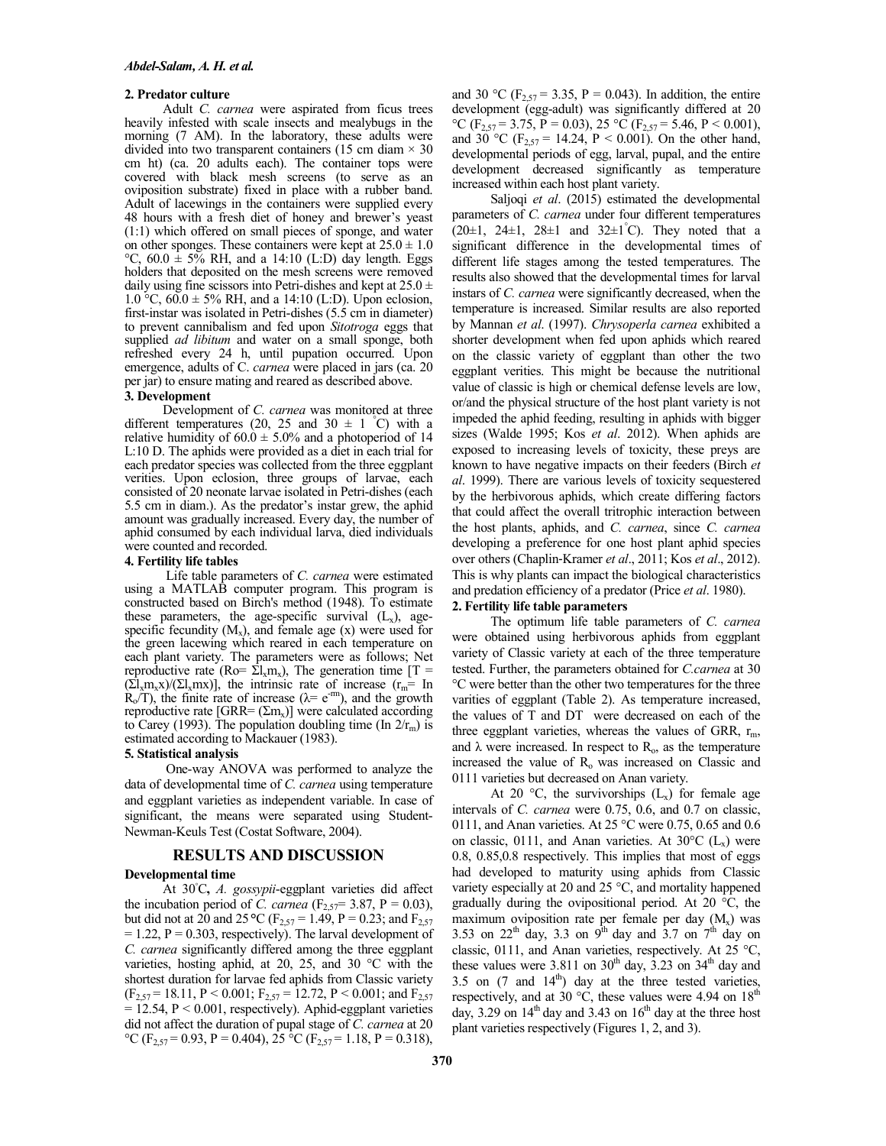#### **2. Predator culture**

Adult *C. carnea* were aspirated from ficus trees heavily infested with scale insects and mealybugs in the morning (7 AM). In the laboratory, these adults were divided into two transparent containers (15 cm diam  $\times$  30 cm ht) (ca. 20 adults each). The container tops were covered with black mesh screens (to serve as an oviposition substrate) fixed in place with a rubber band. Adult of lacewings in the containers were supplied every 48 hours with a fresh diet of honey and brewer's yeast (1:1) which offered on small pieces of sponge, and water on other sponges. These containers were kept at  $25.0 \pm 1.0$ °C,  $60.0 \pm 5\%$  RH, and a 14:10 (L:D) day length. Eggs holders that deposited on the mesh screens were removed daily using fine scissors into Petri-dishes and kept at  $25.0 \pm$ 1.0 °C,  $60.0 \pm 5\%$  RH, and a 14:10 (L:D). Upon eclosion, first-instar was isolated in Petri-dishes (5.5 cm in diameter) to prevent cannibalism and fed upon *Sitotroga* eggs that supplied *ad libitum* and water on a small sponge, both refreshed every 24 h, until pupation occurred. Upon emergence, adults of C. *carnea* were placed in jars (ca. 20 per jar) to ensure mating and reared as described above.

# **3. Development**

Development of *C. carnea* was monitored at three different temperatures (20, 25 and 30  $\pm$  1 °C) with a relative humidity of  $60.0 \pm 5.0\%$  and a photoperiod of 14 L:10 D. The aphids were provided as a diet in each trial for each predator species was collected from the three eggplant verities. Upon eclosion, three groups of larvae, each consisted of 20 neonate larvae isolated in Petri-dishes (each 5.5 cm in diam.). As the predator's instar grew, the aphid amount was gradually increased. Every day, the number of aphid consumed by each individual larva, died individuals were counted and recorded.

## **4. Fertility life tables**

 Life table parameters of *C. carnea* were estimated using a MATLAB computer program. This program is constructed based on Birch's method (1948). To estimate these parameters, the age-specific survival  $(L_x)$ , agespecific fecundity  $(M_x)$ , and female age  $(x)$  were used for the green lacewing which reared in each temperature on each plant variety. The parameters were as follows; Net reproductive rate (Ro=  $\overline{\Sigma}l_xm_x$ ), The generation time [T =  $(\Sigma_{x}$ m<sub>x</sub>x)/( $\Sigma_{x}$ mx)], the intrinsic rate of increase ( $r_m$  = In  $R_o/T$ ), the finite rate of increase ( $\lambda$  = e<sup>-m</sup>), and the growth reproductive rate  $[GRR=(\Sigma m_x)]$  were calculated according to Carey (1993). The population doubling time (In  $2/r<sub>m</sub>$ ) is estimated according to Mackauer (1983).

#### **5. Statistical analysis**

 One-way ANOVA was performed to analyze the data of developmental time of *C. carnea* using temperature and eggplant varieties as independent variable. In case of significant, the means were separated using Student-Newman-Keuls Test (Costat Software, 2004).

## **RESULTS AND DISCUSSION**

#### **Developmental time**

At 30◦C**,** *A. gossypii*-eggplant varieties did affect the incubation period of *C. carnea* ( $F_{2.57}$ = 3.87, P = 0.03), but did not at 20 and 25 °C ( $F_{2,57}$  = 1.49, P = 0.23; and  $F_{2,57}$  $= 1.22$ ,  $P = 0.303$ , respectively). The larval development of *C. carnea* significantly differed among the three eggplant varieties, hosting aphid, at 20, 25, and 30 °C with the shortest duration for larvae fed aphids from Classic variety  $(F_{2,57} = 18.11, P < 0.001; F_{2,57} = 12.72, P < 0.001;$  and  $F_{2,57}$  $= 12.54$ , P < 0.001, respectively). Aphid-eggplant varieties did not affect the duration of pupal stage of *C. carnea* at 20 °C ( $F_{2,57}$  = 0.93, P = 0.404), 25 °C ( $F_{2,57}$  = 1.18, P = 0.318),

and 30 °C ( $F_{2,57} = 3.35$ ,  $P = 0.043$ ). In addition, the entire development (egg-adult) was significantly differed at 20 °C (F<sub>2,57</sub> = 3.75, P = 0.03), 25 °C (F<sub>2,57</sub> = 5.46, P < 0.001), and 30 °C ( $F_{2,57}$  = 14.24, P < 0.001). On the other hand, developmental periods of egg, larval, pupal, and the entire development decreased significantly as temperature increased within each host plant variety.

Saljoqi *et al*. (2015) estimated the developmental parameters of *C. carnea* under four different temperatures  $(20\pm 1, 24\pm 1, 28\pm 1, and 32\pm 1^{\circ}C)$ . They noted that a significant difference in the developmental times of different life stages among the tested temperatures. The results also showed that the developmental times for larval instars of *C. carnea* were significantly decreased, when the temperature is increased. Similar results are also reported by Mannan *et al*. (1997). *Chrysoperla carnea* exhibited a shorter development when fed upon aphids which reared on the classic variety of eggplant than other the two eggplant verities. This might be because the nutritional value of classic is high or chemical defense levels are low, or/and the physical structure of the host plant variety is not impeded the aphid feeding, resulting in aphids with bigger sizes (Walde 1995; Kos *et al*. 2012). When aphids are exposed to increasing levels of toxicity, these preys are known to have negative impacts on their feeders (Birch *et al*. 1999). There are various levels of toxicity sequestered by the herbivorous aphids, which create differing factors that could affect the overall tritrophic interaction between the host plants, aphids, and *C. carnea*, since *C. carnea*  developing a preference for one host plant aphid species over others (Chaplin‐Kramer *et al*., 2011; Kos *et al*., 2012). This is why plants can impact the biological characteristics and predation efficiency of a predator (Price *et al*. 1980).

### **2. Fertility life table parameters**

The optimum life table parameters of *C. carnea* were obtained using herbivorous aphids from eggplant variety of Classic variety at each of the three temperature tested. Further, the parameters obtained for *C.carnea* at 30 °C were better than the other two temperatures for the three varities of eggplant (Table 2). As temperature increased, the values of T and DT were decreased on each of the three eggplant varieties, whereas the values of GRR,  $r_m$ , and  $\lambda$  were increased. In respect to  $R_0$ , as the temperature increased the value of  $R<sub>o</sub>$  was increased on Classic and 0111 varieties but decreased on Anan variety.

At 20 °C, the survivorships  $(L_x)$  for female age intervals of *C. carnea* were 0.75, 0.6, and 0.7 on classic, 0111, and Anan varieties. At 25 °C were 0.75, 0.65 and 0.6 on classic, 0111, and Anan varieties. At  $30^{\circ}C$  (L<sub>x</sub>) were 0.8, 0.85,0.8 respectively. This implies that most of eggs had developed to maturity using aphids from Classic variety especially at 20 and 25 °C, and mortality happened gradually during the ovipositional period. At 20 °C, the maximum oviposition rate per female per day  $(M_x)$  was 3.53 on  $22^{th}$  day, 3.3 on  $9^{th}$  day and 3.7 on  $7^{th}$  day on classic, 0111, and Anan varieties, respectively. At 25 °C, these values were 3.811 on  $30<sup>th</sup>$  day, 3.23 on  $34<sup>th</sup>$  day and 3.5 on  $(7 \text{ and } 14^{\text{th}})$  day at the three tested varieties, respectively, and at 30  $^{\circ}$ C, these values were 4.94 on 18<sup>th</sup> day, 3.29 on  $14<sup>th</sup>$  day and 3.43 on  $16<sup>th</sup>$  day at the three host plant varieties respectively (Figures 1, 2, and 3).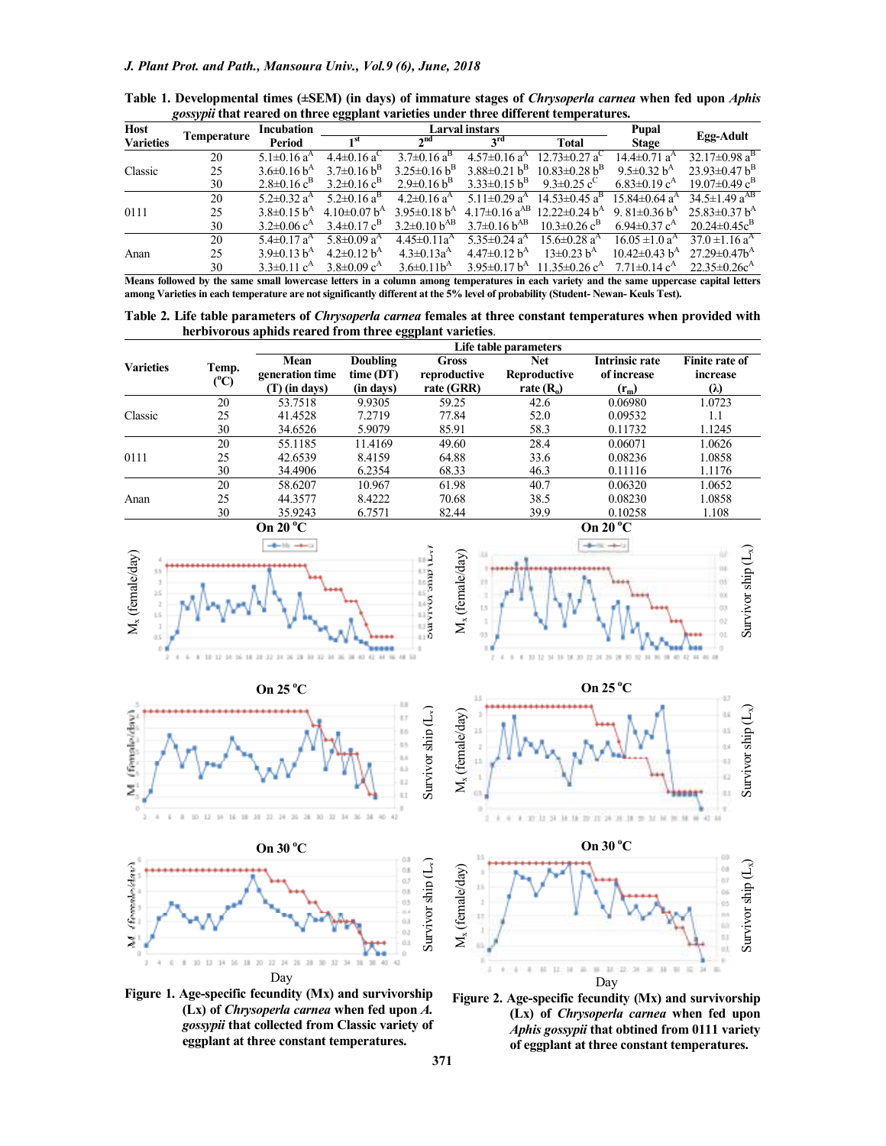| <b>Host</b>      |                    | <b>Incubation</b>             | .<br>Larval instars              |                             |                                |                                 | Pupal                          |                                       |
|------------------|--------------------|-------------------------------|----------------------------------|-----------------------------|--------------------------------|---------------------------------|--------------------------------|---------------------------------------|
| <b>Varieties</b> | <b>Temperature</b> | Period                        | ı St                             | 2 <sub>nd</sub>             | $2^{\text{rd}}$                | <b>Total</b>                    | <b>Stage</b>                   | Egg-Adult                             |
| Classic          | 20                 | $5.1 \pm 0.16$ a <sup>A</sup> | $4.4 \pm 0.16 \text{ a}^{\circ}$ | $3.7\pm0.16$ a <sup>B</sup> | $4.57\pm0.16$ a <sup>A</sup>   | $12.73 \pm 0.27$ a <sup>C</sup> | $14.4\pm 0.71$ a <sup>A</sup>  | $32.17 \pm 0.98 \text{ a}^{\text{B}}$ |
|                  | 25                 | $3.6\pm0.16 b^A$              | $3.7\pm0.16 b^B$                 | $3.25\pm0.16 h^{B}$         | $3.88\pm0.21 h^B$              | $10.83 \pm 0.28$ b <sup>B</sup> | 9.5 $\pm$ 0.32 $h^A$           | $23.93 \pm 0.47 h^B$                  |
|                  | 30                 | $2.8\pm0.16$ c <sup>B</sup>   | $3.2 \pm 0.16$ c <sup>B</sup>    | $2.9\pm0.16 b^B$            | $3.33\pm0.15 b^B$              | 9.3 $\pm$ 0.25 c <sup>C</sup>   | $6.83 \pm 0.19$ c <sup>A</sup> | $19.07\pm0.49$ $c^B$                  |
| 0111             | 20                 | $5.2\pm 0.32$ a <sup>A</sup>  | $5.2\pm0.16$ a <sup>B</sup>      | $4.2\pm0.16$ a <sup>A</sup> | 5.11 $\pm$ 0.29 a <sup>A</sup> | $14.53\pm0.45$ a <sup>B</sup>   | $15.84\pm0.64$ a <sup>A</sup>  | $34.5 \pm 1.49 \text{ a}^{AB}$        |
|                  | 25                 | $3.8\pm0.15 h^{A}$            | 4.10 $\pm$ 0.07 $h^A$            | $3.95\pm0.18 h^{A}$         | $4.17\pm0.16$ a <sup>AB</sup>  | $12.22 \pm 0.24$ b <sup>A</sup> | 9.81 $\pm$ 0.36 $h^A$          | $25.83 \pm 0.37$ b <sup>A</sup>       |
|                  | 30                 | $3.2\pm0.06$ c <sup>A</sup>   | $3.4\pm0.17$ c <sup>B</sup>      | $3.2 \pm 0.10 b^{AB}$       | $3.7\pm0.16 b^{AB}$            | $10.3 \pm 0.26$ c <sup>B</sup>  | $6.94 \pm 0.37$ c <sup>A</sup> | $20.24 \pm 0.45c^B$                   |
| Anan             | 20                 | $5.4\pm 0.17$ a <sup>A</sup>  | $5.8 \pm 0.09$ a <sup>A</sup>    | $4.45\pm0.11a^{A}$          | 5.35 $\pm$ 0.24 a <sup>A</sup> | $15.6 \pm 0.28$ a <sup>A</sup>  | $16.05 \pm 1.0$ a <sup>A</sup> | $37.0 \pm 1.16$ a <sup>A</sup>        |
|                  | 25                 | $3.9\pm0.13 h^{A}$            | $4.2\pm0.12 b^A$                 | $4.3 \pm 0.13a^4$           | $4.47\pm0.12 b^A$              | $13\pm0.23 h^{A}$               | $10.42\pm0.43$ b <sup>A</sup>  | $27.29 \pm 0.47 h^{A}$                |
|                  | 30                 | $3.3 \pm 0.11$ c <sup>A</sup> | $3.8 \pm 0.09$ c <sup>A</sup>    | $3.6 \pm 0.11b^{A}$         | $3.95\pm0.17 h^{A}$            | $11.35 \pm 0.26$ c <sup>A</sup> | 7.71 $\pm$ 0.14 $c^A$          | $22.35 \pm 0.26c^A$                   |

 **Table 1. Developmental times (±SEM) (in days) of immature stages of** *Chrysoperla carnea* **when fed upon** *Aphis gossypii* **that reared on three eggplant varieties under three different temperatures.** 

**Means followed by the same small lowercase letters in a column among temperatures in each variety and the same uppercase capital letters among Varieties in each temperature are not significantly different at the 5% level of probability (Student- Newan- Keuls Test).** 

**Table 2. Life table parameters of** *Chrysoperla carnea* **females at three constant temperatures when provided with herbivorous aphids reared from three eggplant varieties**.

|                  |               | Life table parameters                      |                                          |                                            |                                                   |                                                 |                                          |  |  |  |
|------------------|---------------|--------------------------------------------|------------------------------------------|--------------------------------------------|---------------------------------------------------|-------------------------------------------------|------------------------------------------|--|--|--|
| <b>Varieties</b> | Temp.<br>(°C) | Mean<br>generation time<br>$(T)$ (in days) | <b>Doubling</b><br>time(DT)<br>(in days) | <b>Gross</b><br>reproductive<br>rate (GRR) | <b>Net</b><br><b>Reproductive</b><br>rate $(R_0)$ | <b>Intrinsic rate</b><br>of increase<br>$(r_m)$ | <b>Finite rate of</b><br>increase<br>(λ) |  |  |  |
|                  | 20            | 53.7518                                    | 9.9305                                   | 59.25                                      | 42.6                                              | 0.06980                                         | 1.0723                                   |  |  |  |
| Classic          | 25            | 41.4528                                    | 7.2719                                   | 77.84                                      | 52.0                                              | 0.09532                                         | 1.1                                      |  |  |  |
|                  | 30            | 34.6526                                    | 5.9079                                   | 85.91                                      | 58.3                                              | 0.11732                                         | 1.1245                                   |  |  |  |
|                  | 20            | 55.1185                                    | 11.4169                                  | 49.60                                      | 28.4                                              | 0.06071                                         | 1.0626                                   |  |  |  |
| 0111             | 25            | 42.6539                                    | 8.4159                                   | 64.88                                      | 33.6                                              | 0.08236                                         | 1.0858                                   |  |  |  |
|                  | 30            | 34.4906                                    | 6.2354                                   | 68.33                                      | 46.3                                              | 0.11116                                         | 1.1176                                   |  |  |  |
| Anan             | 20            | 58.6207                                    | 10.967                                   | 61.98                                      | 40.7                                              | 0.06320                                         | 1.0652                                   |  |  |  |
|                  | 25            | 44.3577                                    | 8.4222                                   | 70.68                                      | 38.5                                              | 0.08230                                         | 1.0858                                   |  |  |  |
|                  | 30            | 35.9243                                    | 6.7571                                   | 82.44                                      | 39.9                                              | 0.10258                                         | 1.108                                    |  |  |  |









Survivor ship  $(L_x)$ 

Survivor ship  $(L_x)$ 





**Figure 1. Age-specific fecundity (Mx) and survivorship (Lx) of** *Chrysoperla carnea* **when fed upon** *A. gossypii* **that collected from Classic variety of eggplant at three constant temperatures.** 

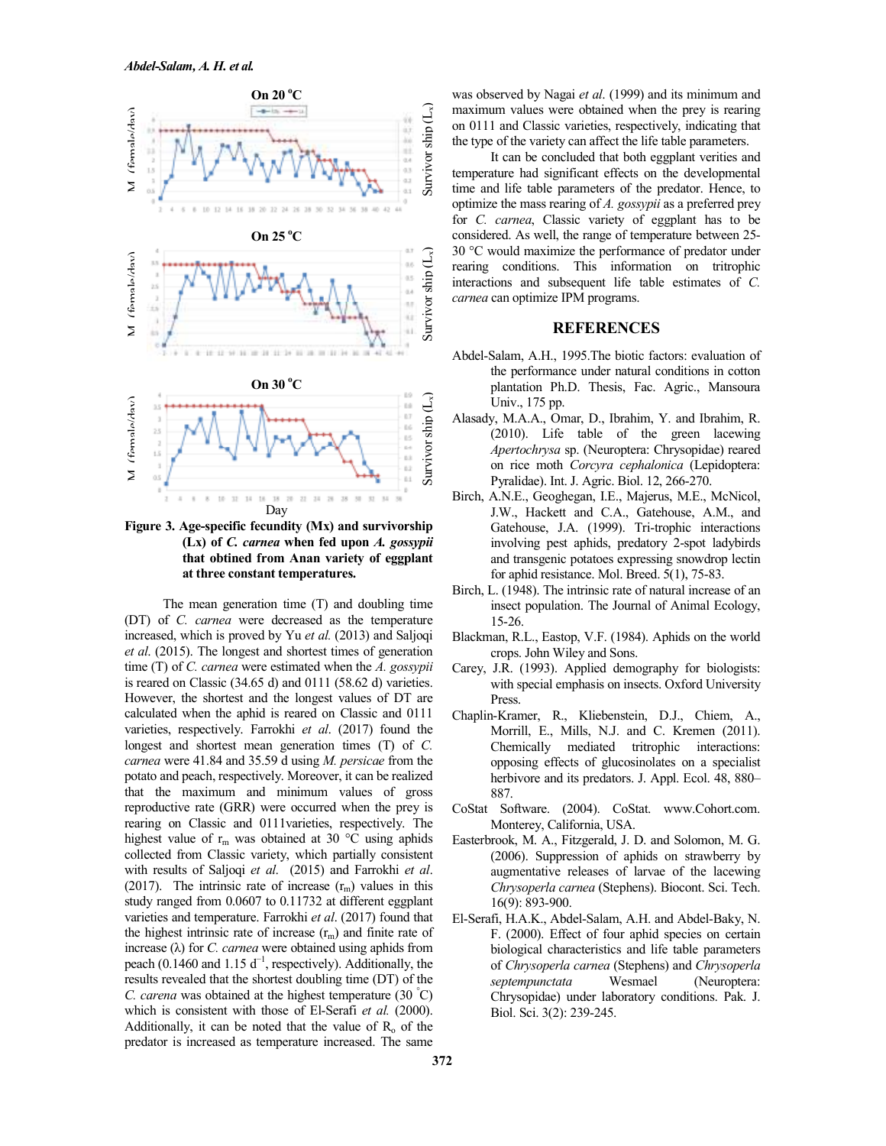

**Figure 3. Age-specific fecundity (Mx) and survivorship (Lx) of** *C. carnea* **when fed upon** *A. gossypii* **that obtined from Anan variety of eggplant at three constant temperatures.** 

The mean generation time (T) and doubling time (DT) of *C. carnea* were decreased as the temperature increased, which is proved by Yu *et al.* (2013) and Saljoqi *et al*. (2015). The longest and shortest times of generation time (T) of *C. carnea* were estimated when the *A. gossypii* is reared on Classic (34.65 d) and 0111 (58.62 d) varieties. However, the shortest and the longest values of DT are calculated when the aphid is reared on Classic and 0111 varieties, respectively. Farrokhi *et al*. (2017) found the longest and shortest mean generation times (T) of *C. carnea* were 41.84 and 35.59 d using *M. persicae* from the potato and peach, respectively. Moreover, it can be realized that the maximum and minimum values of gross reproductive rate (GRR) were occurred when the prey is rearing on Classic and 0111varieties, respectively. The highest value of  $r_m$  was obtained at 30 °C using aphids collected from Classic variety, which partially consistent with results of Saljoqi *et al*. (2015) and Farrokhi *et al*. (2017). The intrinsic rate of increase  $(r<sub>m</sub>)$  values in this study ranged from 0.0607 to 0.11732 at different eggplant varieties and temperature. Farrokhi *et al*. (2017) found that the highest intrinsic rate of increase  $(r_m)$  and finite rate of increase (λ) for *C. carnea* were obtained using aphids from peach (0.1460 and 1.15  $d^{-1}$ , respectively). Additionally, the results revealed that the shortest doubling time (DT) of the *C. carena* was obtained at the highest temperature (30 °C) which is consistent with those of El-Serafi et al. (2000). Additionally, it can be noted that the value of  $R_0$  of the predator is increased as temperature increased. The same

was observed by Nagai *et al*. (1999) and its minimum and maximum values were obtained when the prey is rearing on 0111 and Classic varieties, respectively, indicating that the type of the variety can affect the life table parameters.

It can be concluded that both eggplant verities and temperature had significant effects on the developmental time and life table parameters of the predator. Hence, to optimize the mass rearing of *A. gossypii* as a preferred prey for *C. carnea*, Classic variety of eggplant has to be considered. As well, the range of temperature between 25- 30 °C would maximize the performance of predator under rearing conditions. This information on tritrophic interactions and subsequent life table estimates of *C. carnea* can optimize IPM programs.

# **REFERENCES**

- Abdel-Salam, A.H., 1995.The biotic factors: evaluation of the performance under natural conditions in cotton plantation Ph.D. Thesis, Fac. Agric., Mansoura Univ., 175 pp.
- Alasady, M.A.A., Omar, D., Ibrahim, Y. and Ibrahim, R. (2010). Life table of the green lacewing *Apertochrysa* sp. (Neuroptera: Chrysopidae) reared on rice moth *Corcyra cephalonica* (Lepidoptera: Pyralidae). Int. J. Agric. Biol. 12, 266-270.
- Birch, A.N.E., Geoghegan, I.E., Majerus, M.E., McNicol, J.W., Hackett and C.A., Gatehouse, A.M., and Gatehouse, J.A. (1999). Tri-trophic interactions involving pest aphids, predatory 2-spot ladybirds and transgenic potatoes expressing snowdrop lectin for aphid resistance. Mol. Breed. 5(1), 75-83.
- Birch, L. (1948). The intrinsic rate of natural increase of an insect population. The Journal of Animal Ecology, 15-26.
- Blackman, R.L., Eastop, V.F. (1984). Aphids on the world crops. John Wiley and Sons.
- Carey, J.R. (1993). Applied demography for biologists: with special emphasis on insects. Oxford University Press.
- Chaplin-Kramer, R., Kliebenstein, D.J., Chiem, A., Morrill, E., Mills, N.J. and C. Kremen (2011). Chemically mediated tritrophic interactions: opposing effects of glucosinolates on a specialist herbivore and its predators. J. Appl. Ecol. 48, 880– 887.
- CoStat Software. (2004). CoStat. www.Cohort.com. Monterey, California, USA.
- Easterbrook, M. A., Fitzgerald, J. D. and Solomon, M. G. (2006). Suppression of aphids on strawberry by augmentative releases of larvae of the lacewing *Chrysoperla carnea* (Stephens). Biocont. Sci. Tech. 16(9): 893-900.
- El-Serafi, H.A.K., Abdel-Salam, A.H. and Abdel-Baky, N. F. (2000). Effect of four aphid species on certain biological characteristics and life table parameters of *Chrysoperla carnea* (Stephens) and *Chrysoperla septempunctata* Wesmael (Neuroptera: Chrysopidae) under laboratory conditions. Pak. J. Biol. Sci. 3(2): 239-245.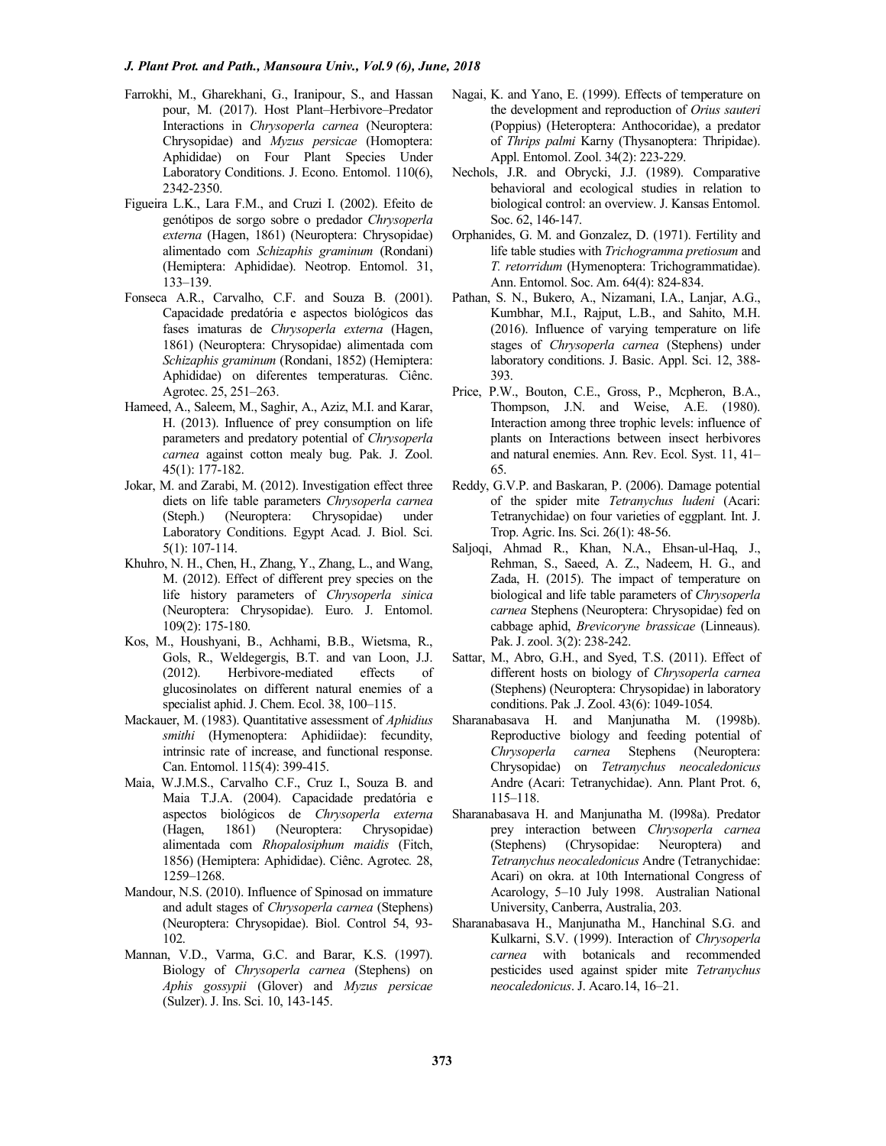- Farrokhi, M., Gharekhani, G., Iranipour, S., and Hassan pour, M. (2017). Host Plant–Herbivore–Predator Interactions in *Chrysoperla carnea* (Neuroptera: Chrysopidae) and *Myzus persicae* (Homoptera: Aphididae) on Four Plant Species Under Laboratory Conditions. J. Econo. Entomol. 110(6), 2342-2350.
- Figueira L.K., Lara F.M., and Cruzi I. (2002). Efeito de genótipos de sorgo sobre o predador *Chrysoperla externa* (Hagen, 1861) (Neuroptera: Chrysopidae) alimentado com *Schizaphis graminum* (Rondani) (Hemiptera: Aphididae). Neotrop. Entomol. 31, 133–139.
- Fonseca A.R., Carvalho, C.F. and Souza B. (2001). Capacidade predatória e aspectos biológicos das fases imaturas de *Chrysoperla externa* (Hagen, 1861) (Neuroptera: Chrysopidae) alimentada com *Schizaphis graminum* (Rondani, 1852) (Hemiptera: Aphididae) on diferentes temperaturas. Ciênc. Agrotec. 25, 251–263.
- Hameed, A., Saleem, M., Saghir, A., Aziz, M.I. and Karar, H. (2013). Influence of prey consumption on life parameters and predatory potential of *Chrysoperla carnea* against cotton mealy bug. Pak. J. Zool. 45(1): 177-182.
- Jokar, M. and Zarabi, M. (2012). Investigation effect three diets on life table parameters *Chrysoperla carnea* (Steph.) (Neuroptera: Chrysopidae) under Laboratory Conditions. Egypt Acad. J. Biol. Sci. 5(1): 107-114.
- Khuhro, N. H., Chen, H., Zhang, Y., Zhang, L., and Wang, M. (2012). Effect of different prey species on the life history parameters of *Chrysoperla sinica* (Neuroptera: Chrysopidae). Euro. J. Entomol. 109(2): 175-180.
- Kos, M., Houshyani, B., Achhami, B.B., Wietsma, R., Gols, R., Weldegergis, B.T. and van Loon, J.J. (2012). Herbivore-mediated effects of glucosinolates on different natural enemies of a specialist aphid. J. Chem. Ecol. 38, 100–115.
- Mackauer, M. (1983). Quantitative assessment of *Aphidius smithi* (Hymenoptera: Aphidiidae): fecundity, intrinsic rate of increase, and functional response. Can. Entomol. 115(4): 399-415.
- Maia, W.J.M.S., Carvalho C.F., Cruz I., Souza B. and Maia T.J.A. (2004). Capacidade predatória e aspectos biológicos de *Chrysoperla externa* (Hagen, 1861) (Neuroptera: Chrysopidae) alimentada com *Rhopalosiphum maidis* (Fitch, 1856) (Hemiptera: Aphididae). Ciênc. Agrotec*.* 28, 1259–1268.
- Mandour, N.S. (2010). Influence of Spinosad on immature and adult stages of *Chrysoperla carnea* (Stephens) (Neuroptera: Chrysopidae). Biol. Control 54, 93- 102.
- Mannan, V.D., Varma, G.C. and Barar, K.S. (1997). Biology of *Chrysoperla carnea* (Stephens) on *Aphis gossypii* (Glover) and *Myzus persicae* (Sulzer). J. Ins. Sci. 10, 143-145.
- Nagai, K. and Yano, E. (1999). Effects of temperature on the development and reproduction of *Orius sauteri* (Poppius) (Heteroptera: Anthocoridae), a predator of *Thrips palmi* Karny (Thysanoptera: Thripidae). Appl. Entomol. Zool. 34(2): 223-229.
- Nechols, J.R. and Obrycki, J.J. (1989). Comparative behavioral and ecological studies in relation to biological control: an overview. J. Kansas Entomol. Soc. 62, 146-147.
- Orphanides, G. M. and Gonzalez, D. (1971). Fertility and life table studies with *Trichogramma pretiosum* and *T. retorridum* (Hymenoptera: Trichogrammatidae). Ann. Entomol. Soc. Am. 64(4): 824-834.
- Pathan, S. N., Bukero, A., Nizamani, I.A., Lanjar, A.G., Kumbhar, M.I., Rajput, L.B., and Sahito, M.H. (2016). Influence of varying temperature on life stages of *Chrysoperla carnea* (Stephens) under laboratory conditions. J. Basic. Appl. Sci. 12, 388- 393.
- Price, P.W., Bouton, C.E., Gross, P., Mcpheron, B.A., Thompson, J.N. and Weise, A.E. (1980). Interaction among three trophic levels: influence of plants on Interactions between insect herbivores and natural enemies. Ann. Rev. Ecol. Syst. 11, 41– 65.
- Reddy, G.V.P. and Baskaran, P. (2006). Damage potential of the spider mite *Tetranychus ludeni* (Acari: Tetranychidae) on four varieties of eggplant. Int. J. Trop. Agric. Ins. Sci. 26(1): 48-56.
- Saljoqi, Ahmad R., Khan, N.A., Ehsan-ul-Haq, J., Rehman, S., Saeed, A. Z., Nadeem, H. G., and Zada, H. (2015). The impact of temperature on biological and life table parameters of *Chrysoperla carnea* Stephens (Neuroptera: Chrysopidae) fed on cabbage aphid, *Brevicoryne brassicae* (Linneaus). Pak. J. zool. 3(2): 238-242.
- Sattar, M., Abro, G.H., and Syed, T.S. (2011). Effect of different hosts on biology of *Chrysoperla carnea* (Stephens) (Neuroptera: Chrysopidae) in laboratory conditions. Pak .J. Zool. 43(6): 1049-1054.
- Sharanabasava H. and Manjunatha M. (1998b). Reproductive biology and feeding potential of *Chrysoperla carnea* Stephens (Neuroptera: Chrysopidae) on *Tetranychus neocaledonicus* Andre (Acari: Tetranychidae). Ann. Plant Prot. 6, 115–118.
- Sharanabasava H. and Manjunatha M. (l998a). Predator prey interaction between *Chrysoperla carnea* (Stephens) (Chrysopidae: Neuroptera) and *Tetranychus neocaledonicus* Andre (Tetranychidae: Acari) on okra. at 10th International Congress of Acarology, 5–10 July 1998. Australian National University, Canberra, Australia, 203.
- Sharanabasava H., Manjunatha M., Hanchinal S.G. and Kulkarni, S.V. (1999). Interaction of *Chrysoperla carnea* with botanicals and recommended pesticides used against spider mite *Tetranychus neocaledonicus*. J. Acaro.14, 16–21.